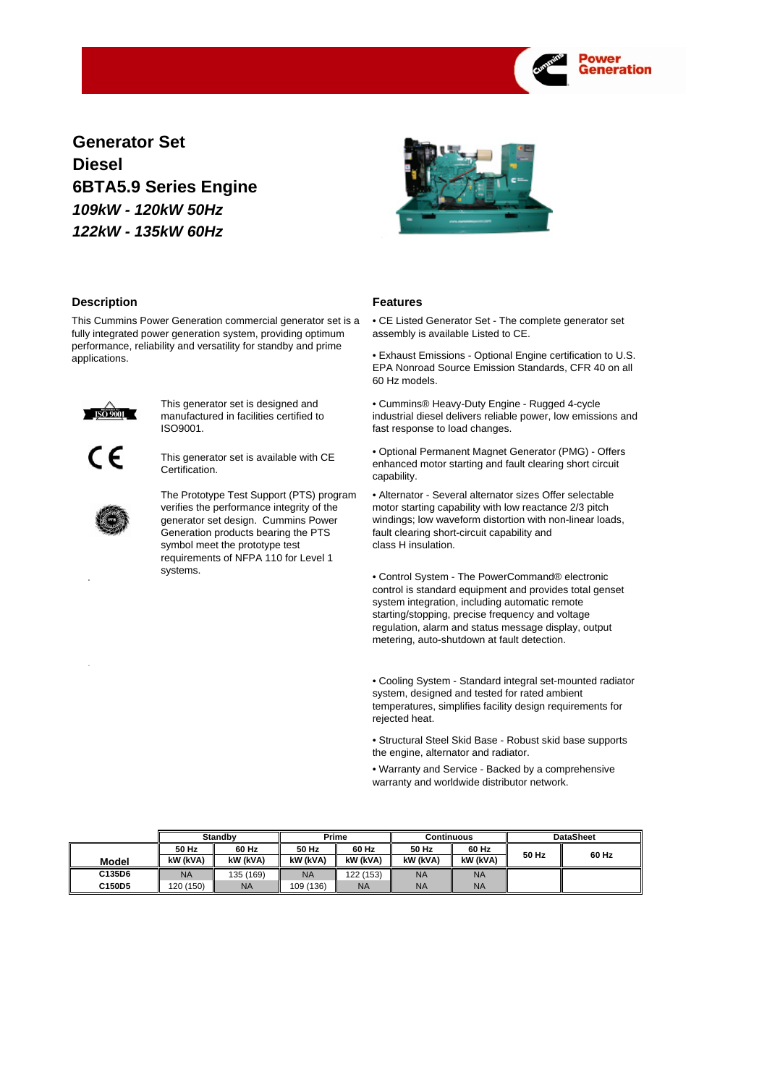

**Generator Set Diesel** *109kW - 120kW 50Hz 122kW - 135kW 60Hz* **6BTA5.9 Series Engine**



# **Description**

This Cummins Power Generation commercial generator set is a fully integrated power generation system, providing optimum performance, reliability and versatility for standby and prime applications.



This generator set is designed and manufactured in facilities certified to ISO9001.



This generator set is available with CE Certification.

The Prototype Test Support (PTS) program verifies the performance integrity of the generator set design. Cummins Power Generation products bearing the PTS symbol meet the prototype test requirements of NFPA 110 for Level 1 systems.

# **Features**

• CE Listed Generator Set - The complete generator set assembly is available Listed to CE.

• Exhaust Emissions - Optional Engine certification to U.S. EPA Nonroad Source Emission Standards, CFR 40 on all 60 Hz models.

• Cummins® Heavy-Duty Engine - Rugged 4-cycle industrial diesel delivers reliable power, low emissions and fast response to load changes.

• Optional Permanent Magnet Generator (PMG) - Offers enhanced motor starting and fault clearing short circuit capability.

• Alternator - Several alternator sizes Offer selectable motor starting capability with low reactance 2/3 pitch windings; low waveform distortion with non-linear loads, fault clearing short-circuit capability and class H insulation.

• Control System - The PowerCommand® electronic control is standard equipment and provides total genset system integration, including automatic remote starting/stopping, precise frequency and voltage regulation, alarm and status message display, output metering, auto-shutdown at fault detection.

• Cooling System - Standard integral set-mounted radiator system, designed and tested for rated ambient temperatures, simplifies facility design requirements for rejected heat.

• Structural Steel Skid Base - Robust skid base supports the engine, alternator and radiator.

• Warranty and Service - Backed by a comprehensive warranty and worldwide distributor network.

|        |           | <b>Standby</b> | Prime     |           | <b>Continuous</b> |           |       | <b>DataSheet</b> |
|--------|-----------|----------------|-----------|-----------|-------------------|-----------|-------|------------------|
|        | 50 Hz     | 60 Hz          | 50 Hz     | 60 Hz     | 50 Hz             | 60 Hz     |       |                  |
| Model  | kW (kVA)  | kW (kVA)       | kW (kVA)  | kW (kVA)  | kW (kVA)          | kW (kVA)  | 50 Hz | 60 Hz            |
| C135D6 | <b>NA</b> | 135 (169)      | <b>NA</b> | 122 (153) | <b>NA</b>         | <b>NA</b> |       |                  |
| C150D5 | 120 (150) | <b>NA</b>      | 109 (136) | <b>NA</b> | <b>NA</b>         | <b>NA</b> |       |                  |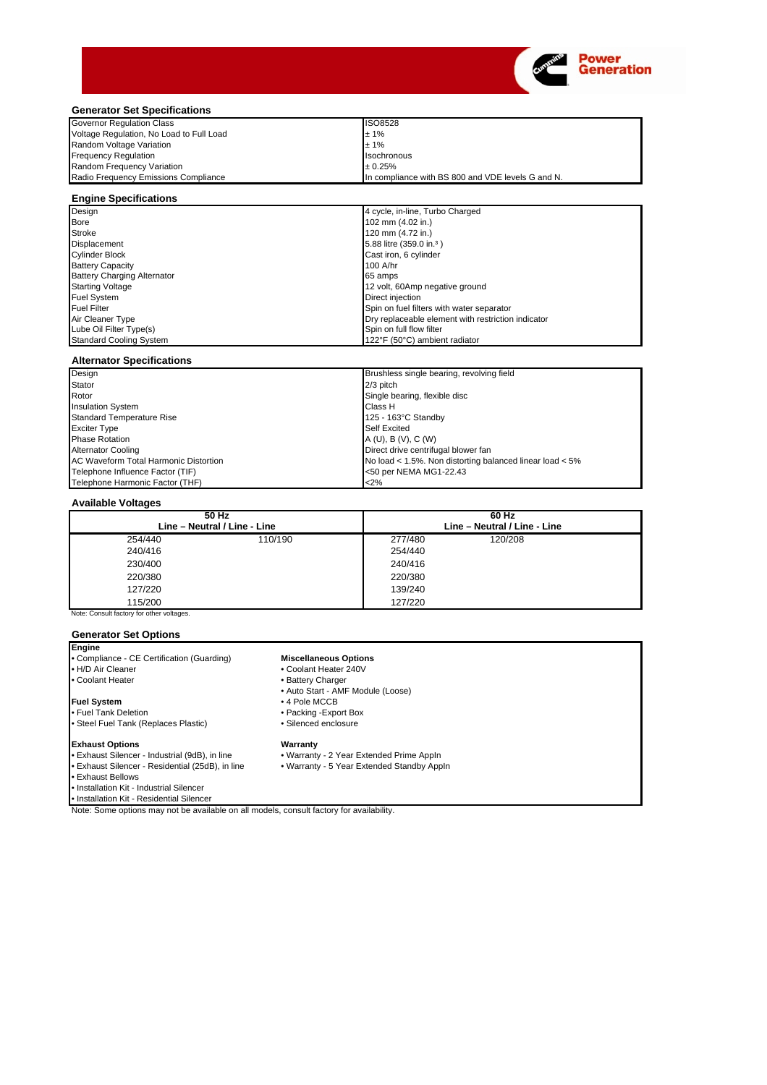

# **Generator Set Specifications**

| <b>Governor Regulation Class</b>         | <b>ISO8528</b>                                    |
|------------------------------------------|---------------------------------------------------|
| Voltage Regulation, No Load to Full Load | ±1%                                               |
| Random Voltage Variation                 | ±1%                                               |
| <b>Frequency Requlation</b>              | <b>Isochronous</b>                                |
| Random Frequency Variation               | $+0.25%$                                          |
| Radio Frequency Emissions Compliance     | In compliance with BS 800 and VDE levels G and N. |

|  | <b>Engine Specifications</b> |  |
|--|------------------------------|--|
|--|------------------------------|--|

| Design                             | 4 cycle, in-line, Turbo Charged                    |
|------------------------------------|----------------------------------------------------|
| <b>Bore</b>                        | 102 mm (4.02 in.)                                  |
| <b>Stroke</b>                      | 120 mm (4.72 in.)                                  |
| Displacement                       | 5.88 litre (359.0 in. <sup>3</sup> )               |
| <b>Cylinder Block</b>              | Cast iron, 6 cylinder                              |
| <b>Battery Capacity</b>            | 100 A/hr                                           |
| <b>Battery Charging Alternator</b> | 65 amps                                            |
| <b>Starting Voltage</b>            | 12 volt, 60Amp negative ground                     |
| <b>Fuel System</b>                 | Direct injection                                   |
| <b>Fuel Filter</b>                 | Spin on fuel filters with water separator          |
| Air Cleaner Type                   | Dry replaceable element with restriction indicator |
| Lube Oil Filter Type(s)            | Spin on full flow filter                           |
| <b>Standard Cooling System</b>     | 122°F (50°C) ambient radiator                      |

## **Alternator Specifications**

| Design                                | Brushless single bearing, revolving field                |
|---------------------------------------|----------------------------------------------------------|
| <b>Stator</b>                         | $2/3$ pitch                                              |
| Rotor                                 | Single bearing, flexible disc                            |
| <b>Insulation System</b>              | Class H                                                  |
| Standard Temperature Rise             | 125 - 163°C Standby                                      |
| <b>Exciter Type</b>                   | <b>Self Excited</b>                                      |
| <b>Phase Rotation</b>                 | A (U), B (V), C (W)                                      |
| <b>Alternator Cooling</b>             | Direct drive centrifugal blower fan                      |
| AC Waveform Total Harmonic Distortion | No load < 1.5%. Non distorting balanced linear load < 5% |
| Telephone Influence Factor (TIF)      | <50 per NEMA MG1-22.43                                   |
| Telephone Harmonic Factor (THF)       | <2%                                                      |

## **Available Voltages**

| $50$ Hz<br>Line - Neutral / Line - Line   |         |         | $60$ Hz<br>Line - Neutral / Line - Line |  |  |
|-------------------------------------------|---------|---------|-----------------------------------------|--|--|
| 254/440                                   | 110/190 | 277/480 | 120/208                                 |  |  |
| 240/416                                   |         | 254/440 |                                         |  |  |
| 230/400                                   |         | 240/416 |                                         |  |  |
| 220/380                                   |         | 220/380 |                                         |  |  |
| 127/220                                   |         | 139/240 |                                         |  |  |
| 115/200                                   |         | 127/220 |                                         |  |  |
| Note: Consult factory for other voltages. |         |         |                                         |  |  |

## **Generator Set Options**

**Engine** • Compliance - CE Certification (Guarding)

• H/D Air Cleaner

#### • Coolant Heater

### **Fuel System**

- Fuel Tank Deletion
- Steel Fuel Tank (Replaces Plastic)

#### **Exhaust Options**

- Exhaust Silencer Industrial (9dB), in line
- Exhaust Silencer Residential (25dB), in line
- Exhaust Bellows
- 
- Installation Kit Industrial Silencer

• Installation Kit - Residential Silencer

Note: Some options may not be available on all models, consult factory for availability.

# **Miscellaneous Options**

- Coolant Heater 240V
- Battery Charger
- Auto Start AMF Module (Loose)
- 4 Pole MCCB
- Packing -Export Box
- Silenced enclosure

**Warranty**

- Warranty 2 Year Extended Prime AppIn
- Warranty 5 Year Extended Standby AppIn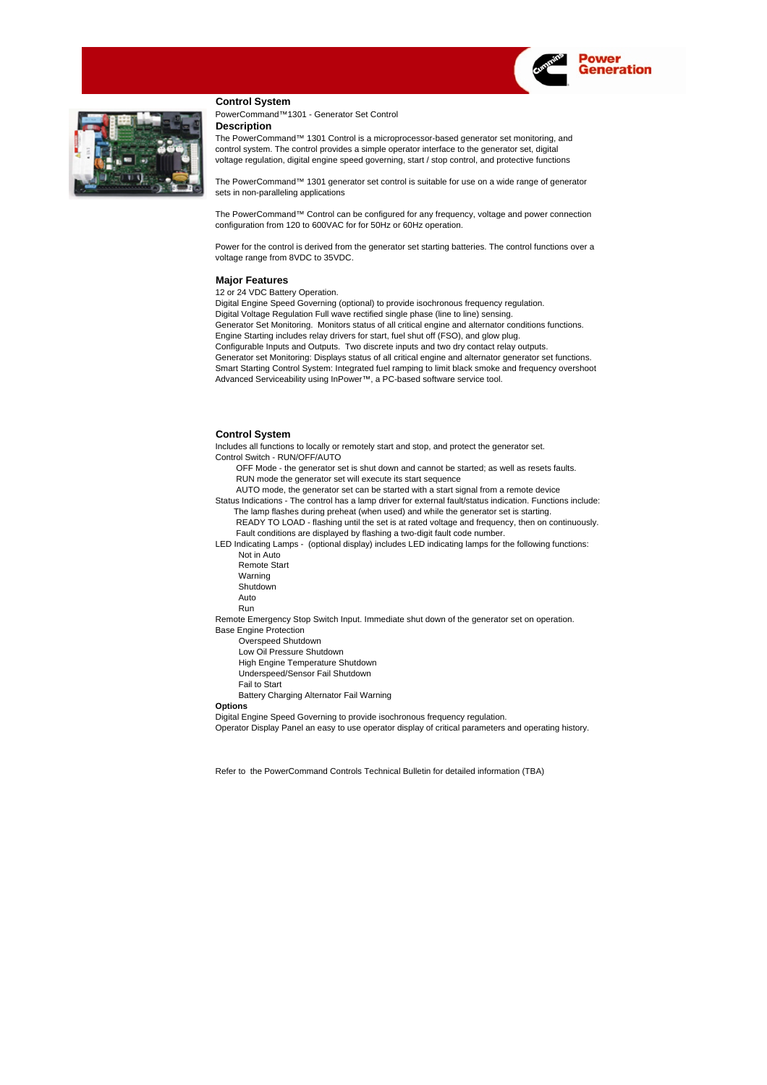

# **Control System**

PowerCommand™1301 - Generator Set Control **Description**

The PowerCommand™ 1301 Control is a microprocessor-based generator set monitoring, and voltage regulation, digital engine speed governing, start / stop control, and protective functions control system. The control provides a simple operator interface to the generator set, digital

The PowerCommand™ 1301 generator set control is suitable for use on a wide range of generator sets in non-paralleling applications

configuration from 120 to 600VAC for for 50Hz or 60Hz operation. The PowerCommand™ Control can be configured for any frequency, voltage and power connection

Power for the control is derived from the generator set starting batteries. The control functions over a voltage range from 8VDC to 35VDC.

#### **Major Features**

12 or 24 VDC Battery Operation.

Digital Engine Speed Governing (optional) to provide isochronous frequency regulation. Digital Voltage Regulation Full wave rectified single phase (line to line) sensing. Generator Set Monitoring. Monitors status of all critical engine and alternator conditions functions. Engine Starting includes relay drivers for start, fuel shut off (FSO), and glow plug. Configurable Inputs and Outputs. Two discrete inputs and two dry contact relay outputs. Generator set Monitoring: Displays status of all critical engine and alternator generator set functions. Smart Starting Control System: Integrated fuel ramping to limit black smoke and frequency overshoot Advanced Serviceability using InPower™, a PC-based software service tool.

## **Control System**

Control Switch - RUN/OFF/AUTO Includes all functions to locally or remotely start and stop, and protect the generator set.

 OFF Mode - the generator set is shut down and cannot be started; as well as resets faults. RUN mode the generator set will execute its start sequence

AUTO mode, the generator set can be started with a start signal from a remote device

Status Indications - The control has a lamp driver for external fault/status indication. Functions include: The lamp flashes during preheat (when used) and while the generator set is starting.

 READY TO LOAD - flashing until the set is at rated voltage and frequency, then on continuously. Fault conditions are displayed by flashing a two-digit fault code number.

LED Indicating Lamps - (optional display) includes LED indicating lamps for the following functions: Not in Auto

- Remote Start
- Warning
- Shutdown

 Auto Run

Base Engine Protection Remote Emergency Stop Switch Input. Immediate shut down of the generator set on operation.

Overspeed Shutdown

Low Oil Pressure Shutdown

High Engine Temperature Shutdown

Underspeed/Sensor Fail Shutdown

Fail to Start

Battery Charging Alternator Fail Warning

# **Options**

Digital Engine Speed Governing to provide isochronous frequency regulation.

Operator Display Panel an easy to use operator display of critical parameters and operating history.

Refer to the PowerCommand Controls Technical Bulletin for detailed information (TBA)